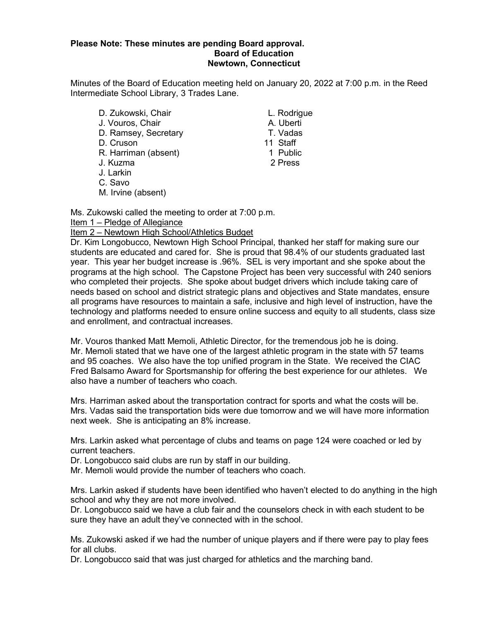### **Please Note: These minutes are pending Board approval. Board of Education Newtown, Connecticut**

Minutes of the Board of Education meeting held on January 20, 2022 at 7:00 p.m. in the Reed Intermediate School Library, 3 Trades Lane.

D. Zukowski, Chair L. Rodrigue J. Vouros, Chair A. Uberti D. Ramsey, Secretary T. Vadas D. Cruson 11 Staff R. Harriman (absent) J. Kuzma 2 Press J. Larkin C. Savo M. Irvine (absent)

Ms. Zukowski called the meeting to order at 7:00 p.m.

### Item 1 – Pledge of Allegiance

### Item 2 – Newtown High School/Athletics Budget

Dr. Kim Longobucco, Newtown High School Principal, thanked her staff for making sure our students are educated and cared for. She is proud that 98.4% of our students graduated last year. This year her budget increase is .96%. SEL is very important and she spoke about the programs at the high school. The Capstone Project has been very successful with 240 seniors who completed their projects. She spoke about budget drivers which include taking care of needs based on school and district strategic plans and objectives and State mandates, ensure all programs have resources to maintain a safe, inclusive and high level of instruction, have the technology and platforms needed to ensure online success and equity to all students, class size and enrollment, and contractual increases.

Mr. Vouros thanked Matt Memoli, Athletic Director, for the tremendous job he is doing. Mr. Memoli stated that we have one of the largest athletic program in the state with 57 teams and 95 coaches. We also have the top unified program in the State. We received the CIAC Fred Balsamo Award for Sportsmanship for offering the best experience for our athletes. We also have a number of teachers who coach.

Mrs. Harriman asked about the transportation contract for sports and what the costs will be. Mrs. Vadas said the transportation bids were due tomorrow and we will have more information next week. She is anticipating an 8% increase.

Mrs. Larkin asked what percentage of clubs and teams on page 124 were coached or led by current teachers.

Dr. Longobucco said clubs are run by staff in our building.

Mr. Memoli would provide the number of teachers who coach.

Mrs. Larkin asked if students have been identified who haven't elected to do anything in the high school and why they are not more involved.

Dr. Longobucco said we have a club fair and the counselors check in with each student to be sure they have an adult they've connected with in the school.

Ms. Zukowski asked if we had the number of unique players and if there were pay to play fees for all clubs.

Dr. Longobucco said that was just charged for athletics and the marching band.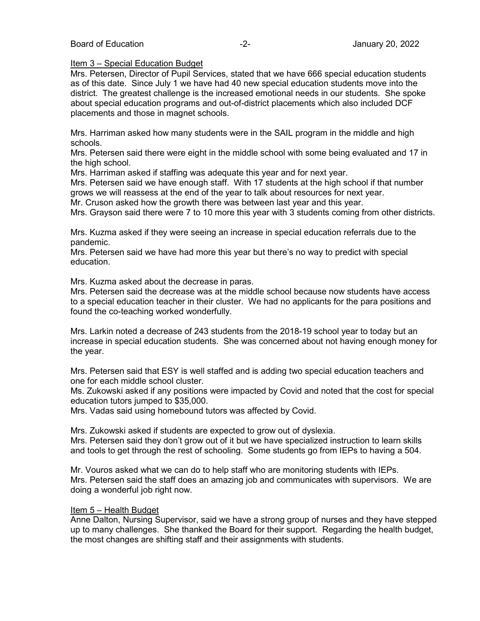### Item 3 – Special Education Budget

Mrs. Petersen, Director of Pupil Services, stated that we have 666 special education students as of this date. Since July 1 we have had 40 new special education students move into the district. The greatest challenge is the increased emotional needs in our students. She spoke about special education programs and out-of-district placements which also included DCF placements and those in magnet schools.

Mrs. Harriman asked how many students were in the SAIL program in the middle and high schools.

Mrs. Petersen said there were eight in the middle school with some being evaluated and 17 in the high school.

Mrs. Harriman asked if staffing was adequate this year and for next year.

Mrs. Petersen said we have enough staff. With 17 students at the high school if that number grows we will reassess at the end of the year to talk about resources for next year.

Mr. Cruson asked how the growth there was between last year and this year.

Mrs. Grayson said there were 7 to 10 more this year with 3 students coming from other districts.

Mrs. Kuzma asked if they were seeing an increase in special education referrals due to the pandemic.

Mrs. Petersen said we have had more this year but there's no way to predict with special education.

Mrs. Kuzma asked about the decrease in paras.

Mrs. Petersen said the decrease was at the middle school because now students have access to a special education teacher in their cluster. We had no applicants for the para positions and found the co-teaching worked wonderfully.

Mrs. Larkin noted a decrease of 243 students from the 2018-19 school year to today but an increase in special education students. She was concerned about not having enough money for the year.

Mrs. Petersen said that ESY is well staffed and is adding two special education teachers and one for each middle school cluster.

Ms. Zukowski asked if any positions were impacted by Covid and noted that the cost for special education tutors jumped to \$35,000.

Mrs. Vadas said using homebound tutors was affected by Covid.

Mrs. Zukowski asked if students are expected to grow out of dyslexia. Mrs. Petersen said they don't grow out of it but we have specialized instruction to learn skills and tools to get through the rest of schooling. Some students go from IEPs to having a 504.

Mr. Vouros asked what we can do to help staff who are monitoring students with IEPs. Mrs. Petersen said the staff does an amazing job and communicates with supervisors. We are doing a wonderful job right now.

### Item 5 – Health Budget

Anne Dalton, Nursing Supervisor, said we have a strong group of nurses and they have stepped up to many challenges. She thanked the Board for their support. Regarding the health budget, the most changes are shifting staff and their assignments with students.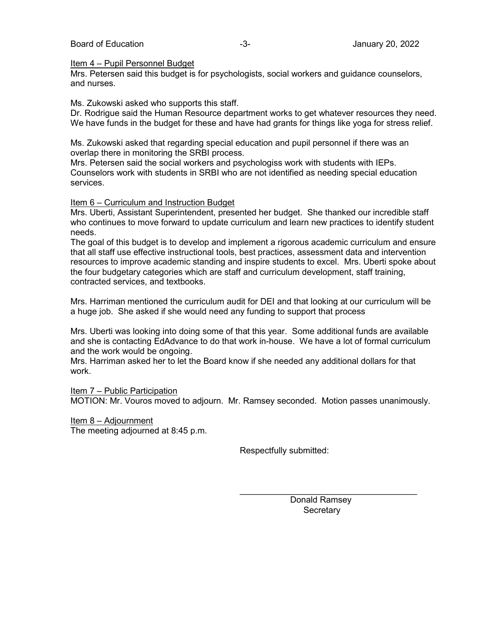### Board of Education **-3-** Figure 20, 2022 **January 20, 2022**

#### Item 4 – Pupil Personnel Budget

Mrs. Petersen said this budget is for psychologists, social workers and guidance counselors, and nurses.

Ms. Zukowski asked who supports this staff.

Dr. Rodrigue said the Human Resource department works to get whatever resources they need. We have funds in the budget for these and have had grants for things like yoga for stress relief.

Ms. Zukowski asked that regarding special education and pupil personnel if there was an overlap there in monitoring the SRBI process.

Mrs. Petersen said the social workers and psychologiss work with students with IEPs. Counselors work with students in SRBI who are not identified as needing special education services.

### Item 6 – Curriculum and Instruction Budget

Mrs. Uberti, Assistant Superintendent, presented her budget. She thanked our incredible staff who continues to move forward to update curriculum and learn new practices to identify student needs.

The goal of this budget is to develop and implement a rigorous academic curriculum and ensure that all staff use effective instructional tools, best practices, assessment data and intervention resources to improve academic standing and inspire students to excel. Mrs. Uberti spoke about the four budgetary categories which are staff and curriculum development, staff training, contracted services, and textbooks.

Mrs. Harriman mentioned the curriculum audit for DEI and that looking at our curriculum will be a huge job. She asked if she would need any funding to support that process

Mrs. Uberti was looking into doing some of that this year. Some additional funds are available and she is contacting EdAdvance to do that work in-house. We have a lot of formal curriculum and the work would be ongoing.

Mrs. Harriman asked her to let the Board know if she needed any additional dollars for that work.

Item 7 – Public Participation

MOTION: Mr. Vouros moved to adjourn. Mr. Ramsey seconded. Motion passes unanimously.

Item 8 – Adjournment The meeting adjourned at 8:45 p.m.

Respectfully submitted:

 Donald Ramsey **Secretary** 

\_\_\_\_\_\_\_\_\_\_\_\_\_\_\_\_\_\_\_\_\_\_\_\_\_\_\_\_\_\_\_\_\_\_\_\_\_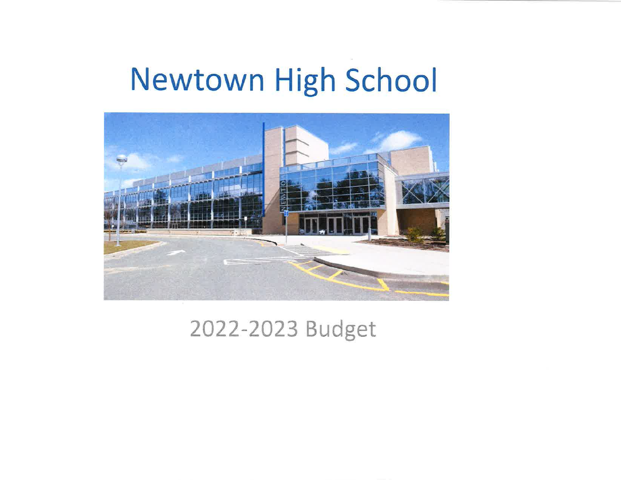# Newtown High School



## 2022-2023 Budget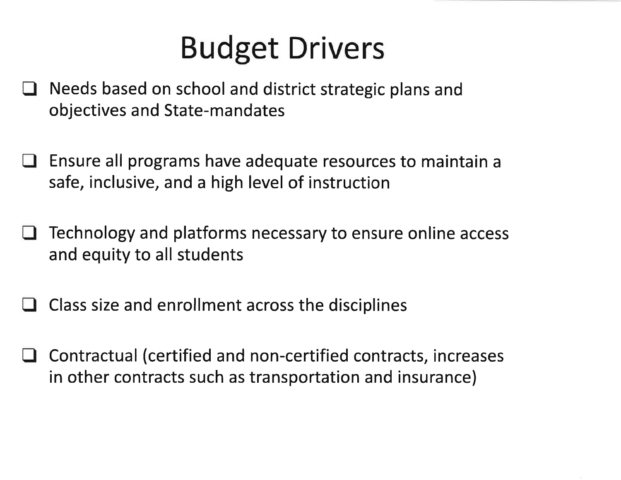# **Budget Drivers**

- Needs based on school and district strategic plans and  $\blacksquare$ objectives and State-mandates
- Ensure all programs have adequate resources to maintain a safe, inclusive, and a high level of instruction
- Technology and platforms necessary to ensure online access and equity to all students
- Class size and enrollment across the disciplines
- Contractual (certified and non-certified contracts, increases in other contracts such as transportation and insurance)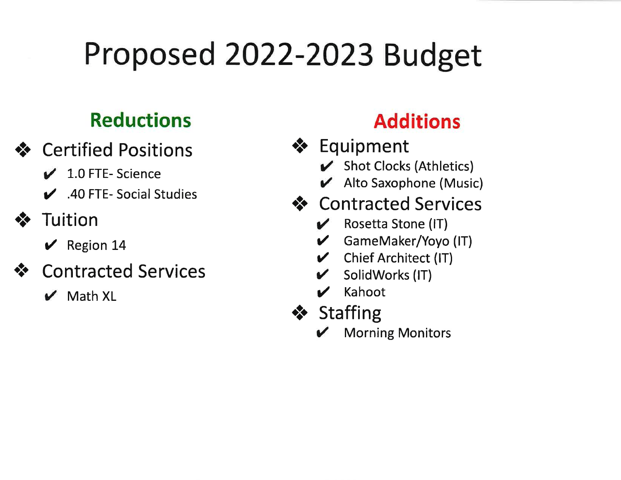# Proposed 2022-2023 Budget

## **Reductions**

- ❖ Certified Positions
	- $\angle$  1.0 FTE-Science
	- ▲ 40 FTE- Social Studies
- Tuition  $\bullet$ 
	- $\vee$  Region 14
- **Contracted Services**  $\bullet \bullet$ 
	- $\mathcal V$  Math XL

## **Additions**

- ❖ Equipment
	- Shot Clocks (Athletics)
	- Alto Saxophone (Music)
- ❖ Contracted Services
	- $\mathcal V$  Rosetta Stone (IT)
	- GameMaker/Yoyo (IT)
	- Chief Architect (IT)  $\mathbf{v}$
	- SolidWorks (IT)
	- Kahoot
- ❖ Staffing
	- **Morning Monitors**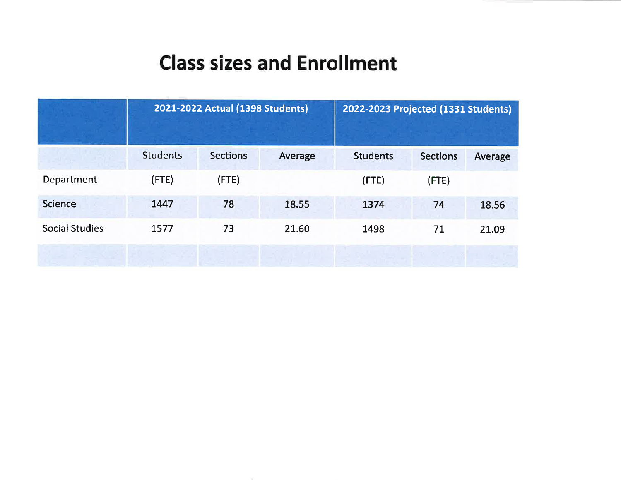## **Class sizes and Enrollment**

|                       |                 | 2021-2022 Actual (1398 Students) | 2022-2023 Projected (1331 Students) |                 |                 |         |
|-----------------------|-----------------|----------------------------------|-------------------------------------|-----------------|-----------------|---------|
|                       | <b>Students</b> | <b>Sections</b>                  | Average                             | <b>Students</b> | <b>Sections</b> | Average |
| Department            | (FTE)           | $($ FTE $)$                      |                                     | (FTE)           | $($ FTE $)$     |         |
| <b>Science</b>        | 1447            | 78                               | 18.55                               | 1374            | 74              | 18.56   |
| <b>Social Studies</b> | 1577            | 73                               | 21.60                               | 1498            | 71              | 21.09   |
|                       |                 |                                  |                                     |                 |                 |         |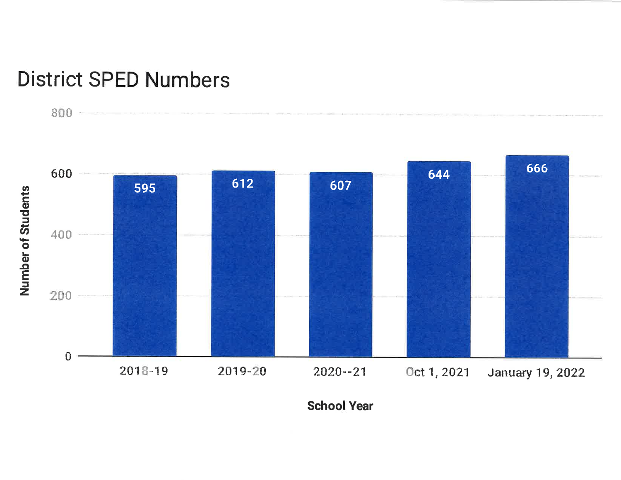## **District SPED Numbers**

 $800 -$ 



**School Year**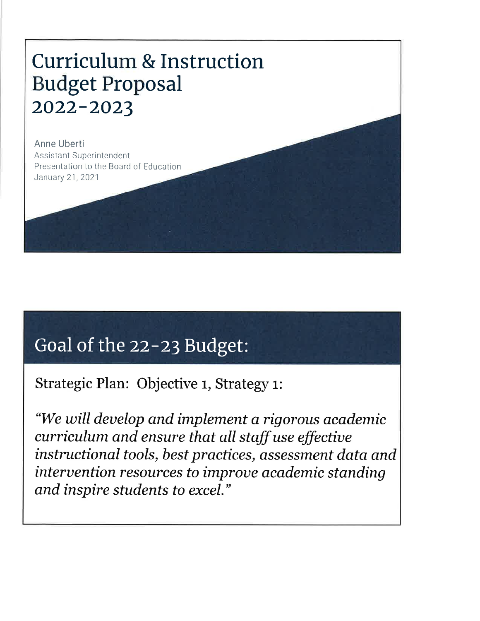## **Curriculum & Instruction Budget Proposal** 2022-2023

Anne Uberti **Assistant Superintendent** Presentation to the Board of Education January 21, 2021

## Goal of the 22-23 Budget:

Strategic Plan: Objective 1, Strategy 1:

"We will develop and implement a rigorous academic curriculum and ensure that all staff use effective instructional tools, best practices, assessment data and intervention resources to improve academic standing and inspire students to excel."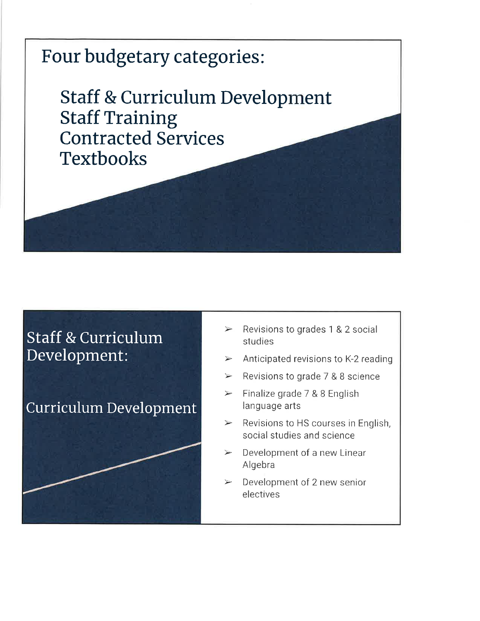

### **Staff & Curriculum** Development:

### **Curriculum Development**

- Revisions to grades 1 & 2 social  $\blacktriangleright$ studies
- Anticipated revisions to K-2 reading  $\blacktriangleright$
- Revisions to grade 7 & 8 science  $\rightarrow$
- Finalize grade 7 & 8 English  $\blacktriangleright$ language arts
- Revisions to HS courses in English,  $\blacktriangleright$ social studies and science
- Development of a new Linear  $\geq$ Algebra
- $\blacktriangleright$ Development of 2 new senior electives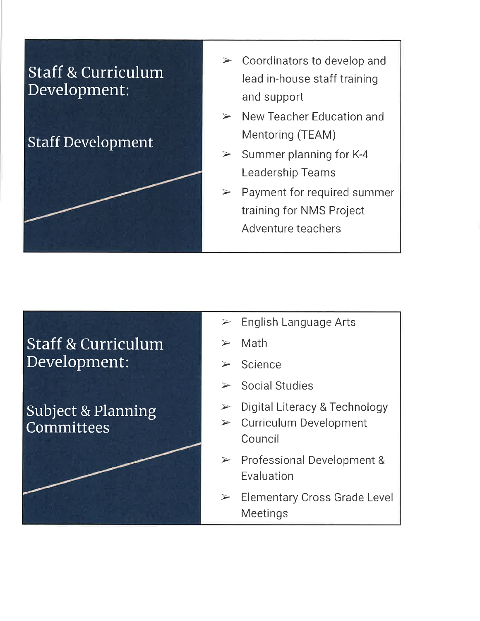

- $\triangleright$  Coordinators to develop and lead in-house staff training and support
- $\triangleright$  New Teacher Education and Mentoring (TEAM)
- $\geq$  Summer planning for K-4 **Leadership Teams**
- $\triangleright$  Payment for required summer training for NMS Project Adventure teachers

### **Staff & Curriculum** Development:

**Subject & Planning** Committees

- $\triangleright$  English Language Arts
- Math
- $\triangleright$  Science
- $\triangleright$  Social Studies
- $\triangleright$  Digital Literacy & Technology
- $\triangleright$  Curriculum Development Council
- $\triangleright$  Professional Development & Evaluation
- $\triangleright$  Elementary Cross Grade Level Meetings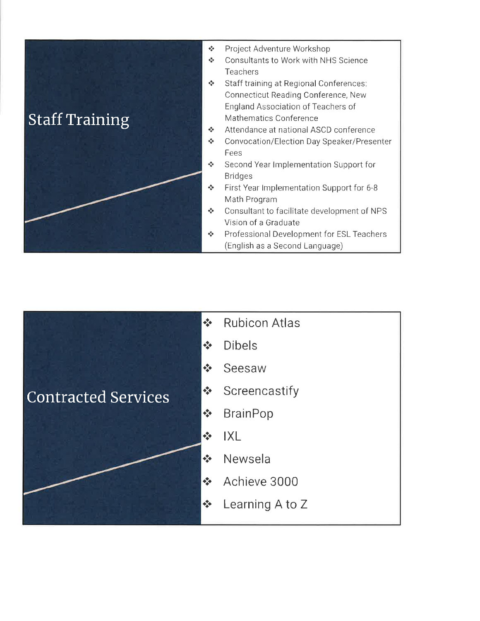

- $\phi_{\alpha}^{\Phi_{\alpha}}$ Project Adventure Workshop
- $\Phi_{\mathbf{a}}^{\Psi_{\mathbf{a}}\mathbf{b}}$  . Consultants to Work with NHS Science Teachers
- Staff training at Regional Conferences: Connecticut Reading Conference, New England Association of Teachers of Mathematics Conference
- $\frac{1}{2}$ Attendance at national ASCD conference
- Convocation/Election Day Speaker/Presenter  $\sigma_{\rm eff}^{\rm th}$ Fees
- $\sigma_{\rm eff}^{\rm th}$  . Second Year Implementation Support for **Bridges**
- $\sigma_{\Delta}^{\Phi}$  . First Year Implementation Support for 6-8 Math Program
- ❖ Consultant to facilitate development of NPS Vision of a Graduate
- Professional Development for ESL Teachers  $\bullet^+_{\psi} \bullet$ (English as a Second Language)

|                            | $\frac{1}{2}$                         | <b>Rubicon Atlas</b> |
|----------------------------|---------------------------------------|----------------------|
|                            | $\frac{\partial}{\partial x^i}$       | <b>Dibels</b>        |
|                            | $\frac{\partial}{\partial x^i}$       | Seesaw               |
| <b>Contracted Services</b> | $\Phi_{\Phi}^{\Phi}$                  | Screencastify        |
|                            | $\frac{\partial}{\partial \phi} \phi$ | <b>BrainPop</b>      |
|                            | $\Phi_{\Delta}^{\Phi}$                | IXL                  |
|                            | $\frac{1}{2}$                         | Newsela              |
|                            | $\Phi_{\rm eff}^{\rm R}$              | Achieve 3000         |
|                            | $\frac{1}{2}$                         | Learning A to Z      |
|                            |                                       |                      |